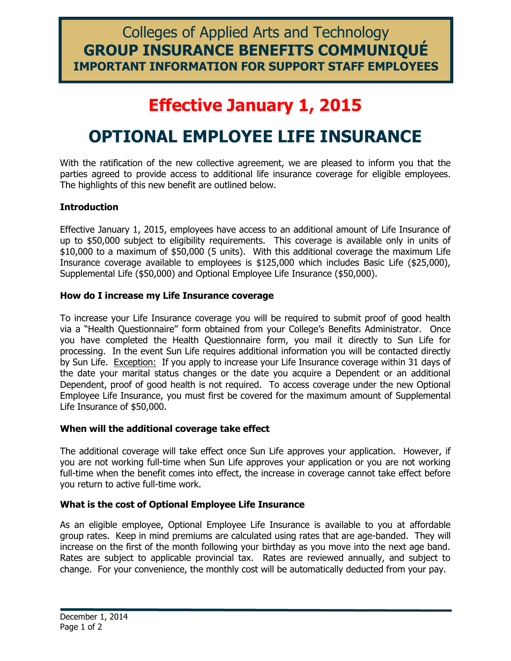### Colleges of Applied Arts and Technology **GROUP INSURANCE BENEFITS COMMUNIQUÉ IMPORTANT INFORMATION FOR SUPPORT STAFF EMPLOYEES**

## **Effective January 1, 2015**

# **OPTIONAL EMPLOYEE LIFE INSURANCE**

With the ratification of the new collective agreement, we are pleased to inform you that the parties agreed to provide access to additional life insurance coverage for eligible employees. The highlights of this new benefit are outlined below.

#### **Introduction**

Effective January 1, 2015, employees have access to an additional amount of Life Insurance of up to \$50,000 subject to eligibility requirements. This coverage is available only in units of \$10,000 to a maximum of \$50,000 (5 units). With this additional coverage the maximum Life Insurance coverage available to employees is \$125,000 which includes Basic Life (\$25,000), Supplemental Life (\$50,000) and Optional Employee Life Insurance (\$50,000).

#### **How do I increase my Life Insurance coverage**

To increase your Life Insurance coverage you will be required to submit proof of good health via a "Health Questionnaire" form obtained from your College's Benefits Administrator. Once you have completed the Health Questionnaire form, you mail it directly to Sun Life for processing. In the event Sun Life requires additional information you will be contacted directly by Sun Life. Exception: If you apply to increase your Life Insurance coverage within 31 days of the date your marital status changes or the date you acquire a Dependent or an additional Dependent, proof of good health is not required. To access coverage under the new Optional Employee Life Insurance, you must first be covered for the maximum amount of Supplemental Life Insurance of \$50,000.

#### **When will the additional coverage take effect**

The additional coverage will take effect once Sun Life approves your application. However, if you are not working full-time when Sun Life approves your application or you are not working full-time when the benefit comes into effect, the increase in coverage cannot take effect before you return to active full-time work.

#### **What is the cost of Optional Employee Life Insurance**

As an eligible employee, Optional Employee Life Insurance is available to you at affordable group rates. Keep in mind premiums are calculated using rates that are age-banded. They will increase on the first of the month following your birthday as you move into the next age band. Rates are subject to applicable provincial tax. Rates are reviewed annually, and subject to change. For your convenience, the monthly cost will be automatically deducted from your pay.